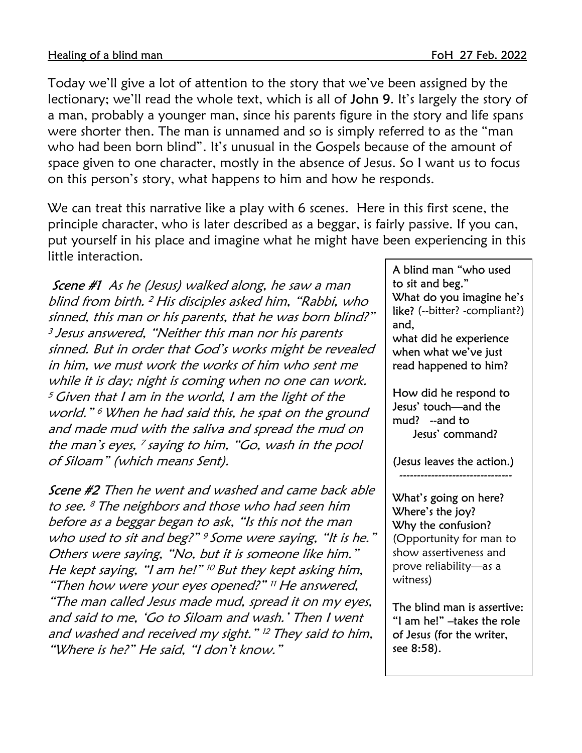Today we'll give a lot of attention to the story that we've been assigned by the lectionary; we'll read the whole text, which is all of John 9. It's largely the story of a man, probably a younger man, since his parents figure in the story and life spans were shorter then. The man is unnamed and so is simply referred to as the "man who had been born blind". It's unusual in the Gospels because of the amount of space given to one character, mostly in the absence of Jesus. So I want us to focus on this person's story, what happens to him and how he responds.

We can treat this narrative like a play with 6 scenes. Here in this first scene, the principle character, who is later described as a beggar, is fairly passive. If you can, put yourself in his place and imagine what he might have been experiencing in this little interaction.

Scene #1 As he (Jesus) walked along, he saw a man blind from birth. <sup>2</sup> His disciples asked him, "Rabbi, who sinned, this man or his parents, that he was born blind?" <sup>3</sup> Jesus answered, "Neither this man nor his parents sinned. But in order that God's works might be revealed in him, we must work the works of him who sent me while it is day; night is coming when no one can work.  $5$  Given that I am in the world, I am the light of the world." <sup>6</sup>When he had said this, he spat on the ground and made mud with the saliva and spread the mud on the man's eyes, <sup>7</sup>saying to him, "Go, wash in the pool of Siloam" (which means Sent).

Scene #2 Then he went and washed and came back able to see. <sup>8</sup>The neighbors and those who had seen him before as a beggar began to ask, "Is this not the man who used to sit and beg?" <sup>9</sup> Some were saying, "It is he." Others were saying, "No, but it is someone like him." He kept saying, "I am he!" <sup>10</sup> But they kept asking him, "Then how were your eyes opened?" <sup>11</sup>He answered, "The man called Jesus made mud, spread it on my eyes, and said to me, 'Go to Siloam and wash.' Then I went and washed and received my sight." <sup>12</sup>They said to him, "Where is he?" He said, "I don't know."

A blind man "who used to sit and beg." What do you imagine he's like? (--bitter? -compliant?) and, what did he experience when what we've just read happened to him? How did he respond to Jesus' touch—and the mud? --and to Jesus' command? (Jesus leaves the action.) -------------------------------- What's going on here? Where's the joy? Why the confusion? (Opportunity for man to show assertiveness and prove reliability—as a witness)

The blind man is assertive: "I am he!" –takes the role of Jesus (for the writer, see 8:58).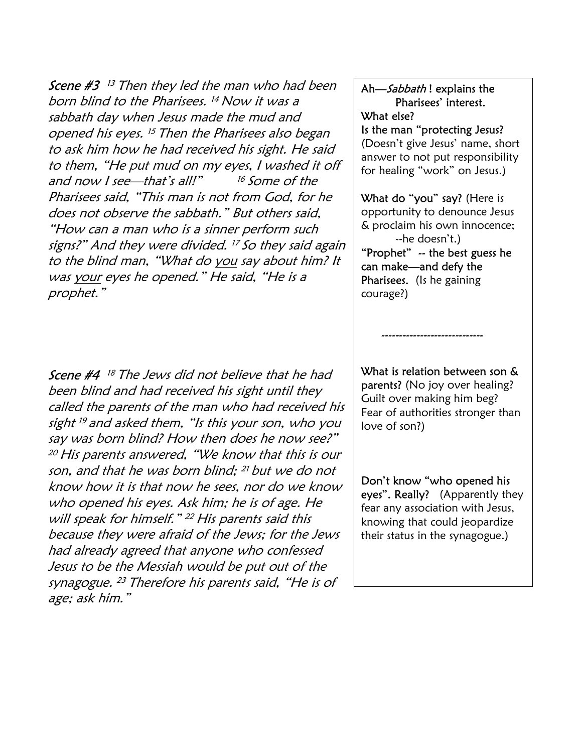**Scene #3** <sup>13</sup> Then they led the man who had been born blind to the Pharisees. <sup>14</sup>Now it was a sabbath day when Jesus made the mud and opened his eyes. <sup>15</sup> Then the Pharisees also began to ask him how he had received his sight. He said to them, "He put mud on my eyes, I washed it off and now I see—that's all!" <sup>16</sup> Some of the Pharisees said, "This man is not from God, for he does not observe the sabbath." But others said, "How can a man who is a sinner perform such signs?" And they were divided. <sup>17</sup>So they said again to the blind man, "What do you say about him? It was your eyes he opened." He said, "He is a prophet."

**Scene #4** 18 The Jews did not believe that he had been blind and had received his sight until they called the parents of the man who had received his sight <sup>19</sup>and asked them, "Is this your son, who you say was born blind? How then does he now see?" <sup>20</sup>His parents answered, "We know that this is our son, and that he was born blind; <sup>21</sup> but we do not know how it is that now he sees, nor do we know who opened his eyes. Ask him; he is of age. He will speak for himself." <sup>22</sup> His parents said this because they were afraid of the Jews; for the Jews had already agreed that anyone who confessed Jesus to be the Messiah would be put out of the synagogue. <sup>23</sup> Therefore his parents said, "He is of age; ask him."

## Ah-Sabbath! explains the Pharisees' interest. What else?

Is the man "protecting Jesus? (Doesn't give Jesus' name, short answer to not put responsibility for healing "work" on Jesus.)

What do "you" say? (Here is opportunity to denounce Jesus & proclaim his own innocence; --he doesn't.) "Prophet" -- the best guess he can make—and defy the Pharisees. (Is he gaining courage?)

What is relation between son & parents? (No joy over healing? Guilt over making him beg? Fear of authorities stronger than love of son?)

-----------------------------

Don't know "who opened his eyes". Really? (Apparently they fear any association with Jesus, knowing that could jeopardize their status in the synagogue.)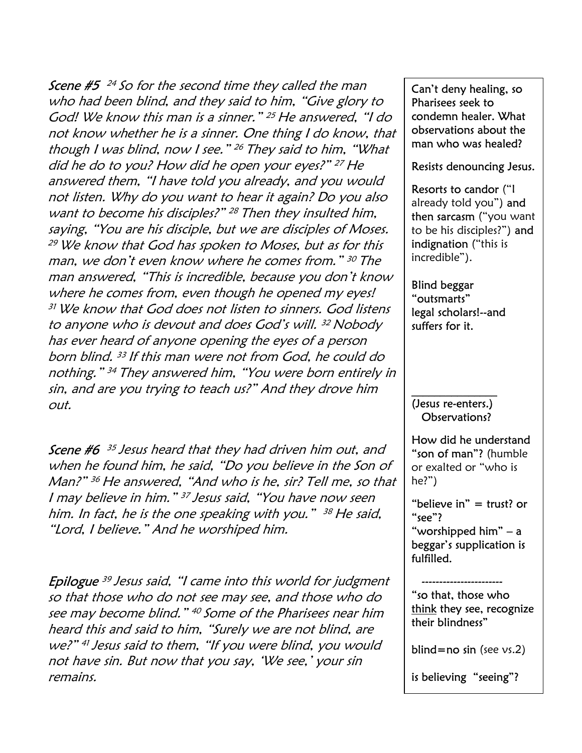**Scene #5** <sup>24</sup> So for the second time they called the man who had been blind, and they said to him, "Give glory to God! We know this man is a sinner." <sup>25</sup> He answered, "I do not know whether he is a sinner. One thing I do know, that though I was blind, now I see." <sup>26</sup> They said to him, "What did he do to you? How did he open your eyes?" <sup>27</sup>He answered them, "I have told you already, and you would not listen. Why do you want to hear it again? Do you also want to become his disciples?" <sup>28</sup> Then they insulted him, saying, "You are his disciple, but we are disciples of Moses. <sup>29</sup>We know that God has spoken to Moses, but as for this man, we don't even know where he comes from." <sup>30</sup>The man answered, "This is incredible, because you don't know where he comes from, even though he opened my eyes! <sup>31</sup>We know that God does not listen to sinners. God listens to anyone who is devout and does God's will. <sup>32</sup> Nobody has ever heard of anyone opening the eyes of a person born blind. <sup>33</sup>If this man were not from God, he could do nothing." <sup>34</sup>They answered him, "You were born entirely in sin, and are you trying to teach us?" And they drove him out.

Scene #6 <sup>35</sup>Jesus heard that they had driven him out, and when he found him, he said, "Do you believe in the Son of Man?" <sup>36</sup> He answered, "And who is he, sir? Tell me, so that I may believe in him." <sup>37</sup> Jesus said, "You have now seen him. In fact, he is the one speaking with you." <sup>38</sup> He said, "Lord, I believe." And he worshiped him.

**Epilogue** <sup>39</sup> Jesus said, "I came into this world for judgment so that those who do not see may see, and those who do see may become blind." <sup>40</sup> Some of the Pharisees near him heard this and said to him, "Surely we are not blind, are we?" <sup>41</sup>Jesus said to them, "If you were blind, you would not have sin. But now that you say, 'We see,' your sin remains.

Can't deny healing, so Pharisees seek to condemn healer. What observations about the man who was healed?

## Resists denouncing Jesus.

Resorts to candor ("I already told you") and then sarcasm ("you want to be his disciples?") and indignation ("this is incredible").

Blind beggar "outsmarts" legal scholars!--and suffers for it.

## (Jesus re-enters.) Observations?

 $\frac{1}{2}$  , where  $\frac{1}{2}$  , where  $\frac{1}{2}$ 

How did he understand "son of man"? (humble or exalted or "who is he?")

"believe in"  $=$  trust? or "see"? "worshipped him" – a beggar's supplication is fulfilled.

 ----------------------- "so that, those who think they see, recognize their blindness"

blind=no sin (see  $\vee$ s.2)

is believing "seeing"?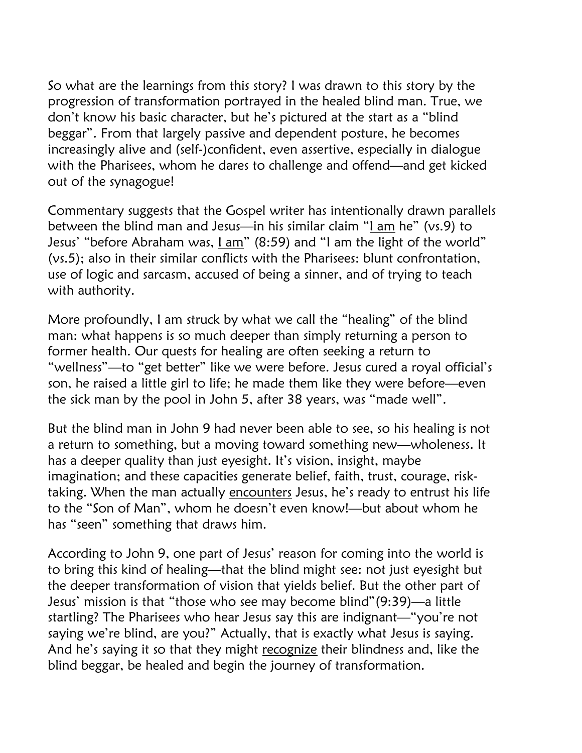So what are the learnings from this story? I was drawn to this story by the progression of transformation portrayed in the healed blind man. True, we don't know his basic character, but he's pictured at the start as a "blind beggar". From that largely passive and dependent posture, he becomes increasingly alive and (self-)confident, even assertive, especially in dialogue with the Pharisees, whom he dares to challenge and offend—and get kicked out of the synagogue!

Commentary suggests that the Gospel writer has intentionally drawn parallels between the blind man and Jesus—in his similar claim "I am he" (vs.9) to Jesus' "before Abraham was, *lam*" (8:59) and "I am the light of the world" (vs.5); also in their similar conflicts with the Pharisees: blunt confrontation, use of logic and sarcasm, accused of being a sinner, and of trying to teach with authority.

More profoundly, I am struck by what we call the "healing" of the blind man: what happens is so much deeper than simply returning a person to former health. Our quests for healing are often seeking a return to "wellness"—to "get better" like we were before. Jesus cured a royal official's son, he raised a little girl to life; he made them like they were before—even the sick man by the pool in John 5, after 38 years, was "made well".

But the blind man in John 9 had never been able to see, so his healing is not a return to something, but a moving toward something new—wholeness. It has a deeper quality than just eyesight. It's vision, insight, maybe imagination; and these capacities generate belief, faith, trust, courage, risktaking. When the man actually encounters Jesus, he's ready to entrust his life to the "Son of Man", whom he doesn't even know!—but about whom he has "seen" something that draws him.

According to John 9, one part of Jesus' reason for coming into the world is to bring this kind of healing—that the blind might see: not just eyesight but the deeper transformation of vision that yields belief. But the other part of Jesus' mission is that "those who see may become blind"(9:39)—a little startling? The Pharisees who hear Jesus say this are indignant—"you're not saying we're blind, are you?" Actually, that is exactly what Jesus is saying. And he's saying it so that they might recognize their blindness and, like the blind beggar, be healed and begin the journey of transformation.